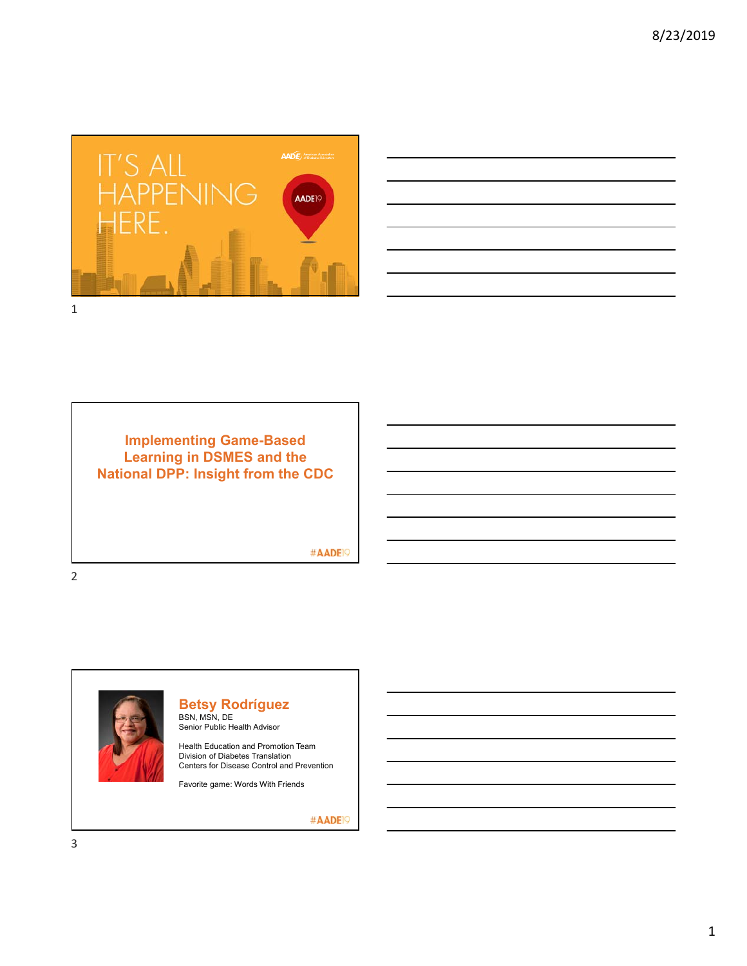



**Implementing Game-Based Learning in DSMES and the National DPP: Insight from the CDC**

#AADE<sup>19</sup>

2



**Betsy Rodríguez** BSN, MSN, DE Senior Public Health Advisor

Health Education and Promotion Team Division of Diabetes Translation Centers for Disease Control and Prevention

Favorite game: Words With Friends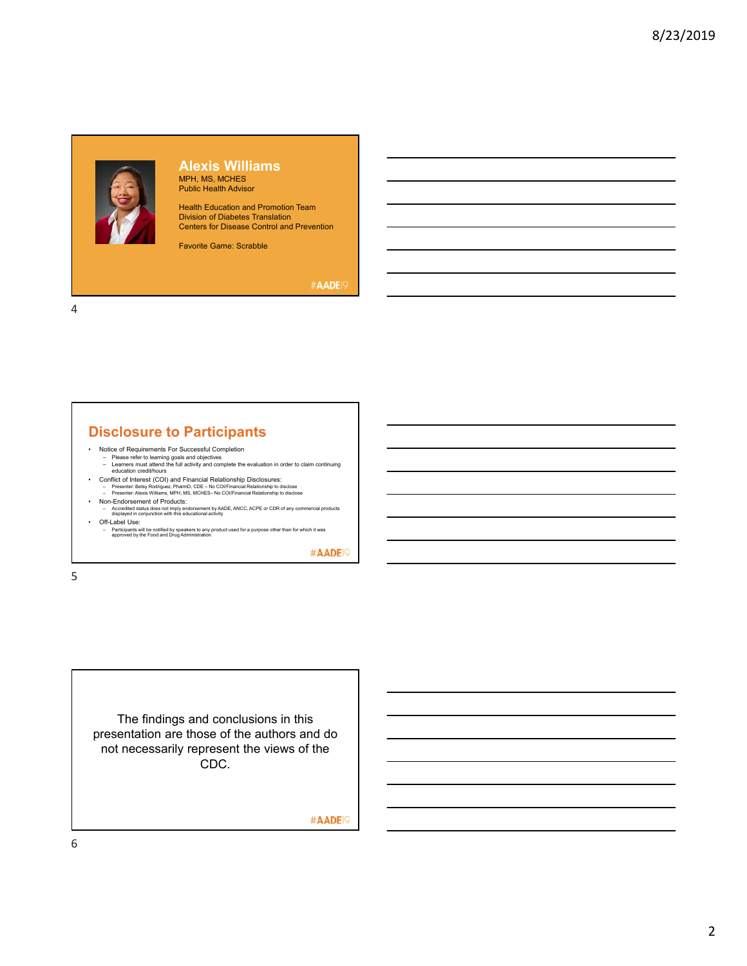# **Alexis Williams**

MPH, MS, MCHES Public Health Advisor

Health Education and Promotion Team Division of Diabetes Translation Centers for Disease Control and Prevention

Favorite Game: Scrabble

#AADE<sup>19</sup>

4

# **Disclosure to Participants**

- 
- Notice of Requirements For Successful Completion Please refer to learning goals and objectives Learners must attend the full activity and complete the evaluation in order to claim continuing education credit/hours
- Conflict of Interest (COI) and Financial Relationship Disclosures:<br>- Presenter: Betsy Rodriguez, PharmD, CDE No COl/Financial Relationship to disclose<br>- Presenter: Alexis Williams, MPH, MS, MCHES– No COl/Financial Rel
- Non-Endorsement of Products: Accredited status does not imply endorsement by AADE, ANCC, ACPE or CDR of any commercial products displayed in conjunction with this educational activity
- Off-Label Use:
- Participants will be notified by speakers to any product used for a purpose other than for which it was approved by the Food and Drug Administration.

#AADE<sup>19</sup>

5

The findings and conclusions in this presentation are those of the authors and do not necessarily represent the views of the CDC.

#AADE<sup>19</sup>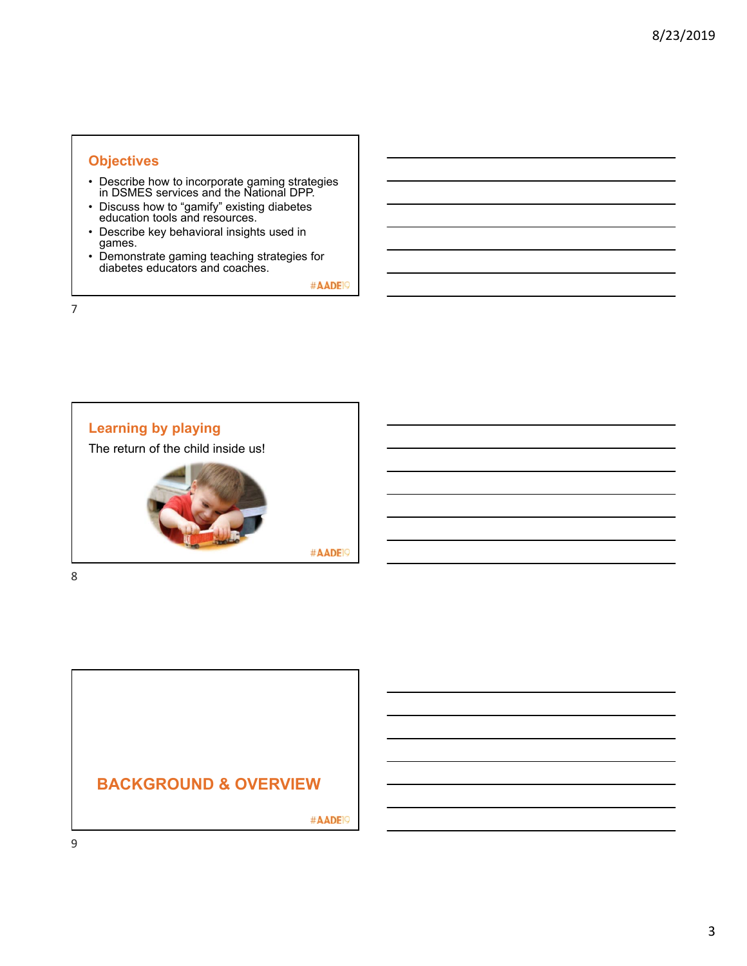## **Objectives**

- Describe how to incorporate gaming strategies in DSMES services and the National DPP.
- Discuss how to "gamify" existing diabetes education tools and resources.
- Describe key behavioral insights used in games.
- Demonstrate gaming teaching strategies for diabetes educators and coaches.

#AADE<sup>19</sup>

7



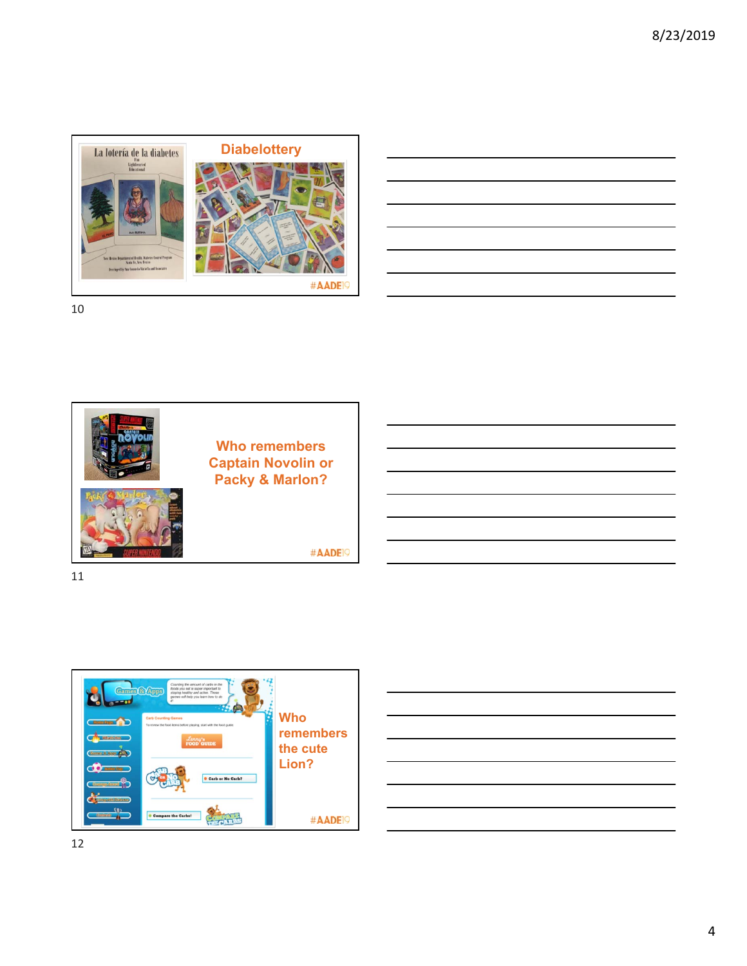

| <u> 1989 - Johann Stoff, amerikansk politiker (d. 1989)</u>                |  |  |
|----------------------------------------------------------------------------|--|--|
| the control of the control of the control of the control of the control of |  |  |
| <u> 1988 - Johann Stoff, amerikansk politiker (d. 1988)</u>                |  |  |
|                                                                            |  |  |
|                                                                            |  |  |





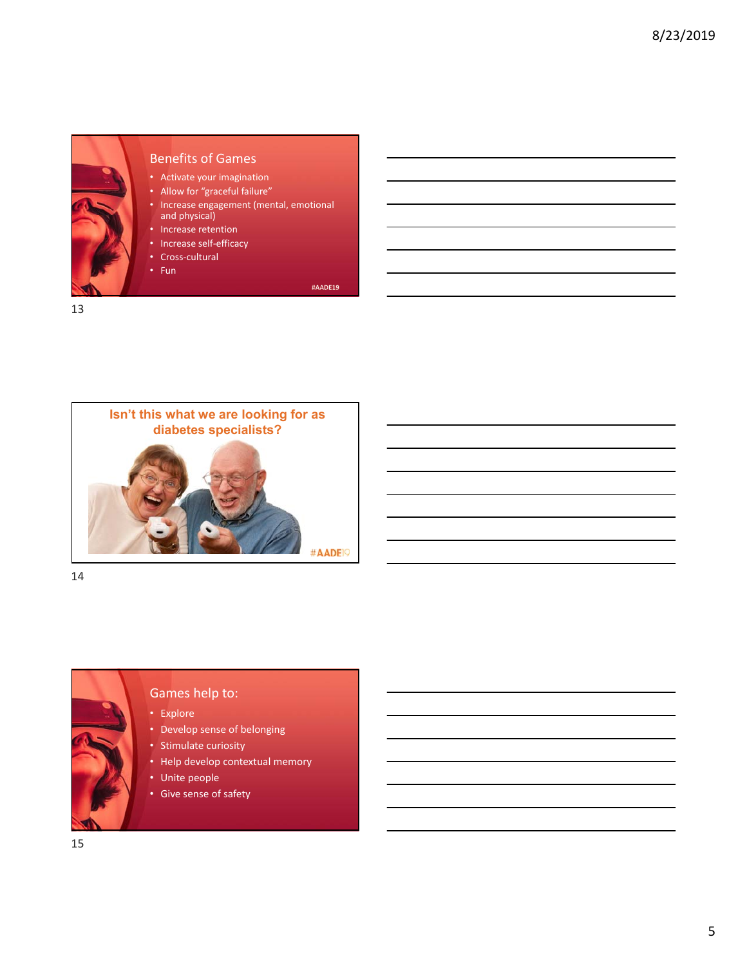

#### Benefits of Games

• Activate your imagination

- Allow for "graceful failure"
- Increase engagement (mental, emotional and physical)
- Increase retention
- Increase self-efficacy
- Cross‐cultural
- Fun

#AADE19



Games help to:

• Stimulate curiosity

• Unite people • Give sense of safety

• Develop sense of belonging

• Help develop contextual memory

• Explore

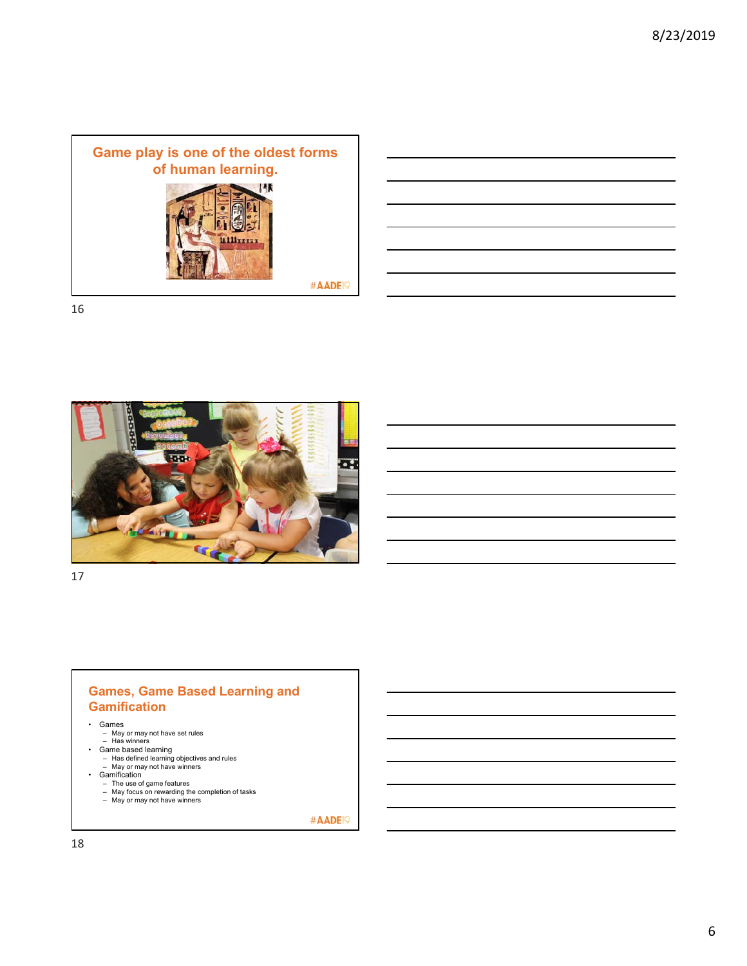

|                                                                                                                      | ,我们也不会有一个人的事情。""我们的人们,我们也不会有一个人的人,我们也不会有一个人的人,我们也不会有一个人的人,我们也不会有一个人的人,我们也不会有一个人的<br>第一百一章 一个人的人,我们的人们的人们,我们的人们的人们,我们的人们的人们,我们的人们的人们,我们的人们的人们,我们的人们的人们,我们的人们的人们,我们的人们 |
|----------------------------------------------------------------------------------------------------------------------|----------------------------------------------------------------------------------------------------------------------------------------------------------------------|
|                                                                                                                      | <u> Alexandro de la contrada de la contrada de la contrada de la contrada de la contrada de la contrada de la co</u>                                                 |
| <u> Alexandro de la contrada de la contrada de la contrada de la contrada de la contrada de la contrada de la co</u> |                                                                                                                                                                      |
|                                                                                                                      | <u>a sa sa salaman sa salawan sa sana sa sana sa sana sa sana sa sana sa sana sa sa sa sa sa sa sa sa sa sa sa sa</u>                                                |
|                                                                                                                      |                                                                                                                                                                      |
|                                                                                                                      |                                                                                                                                                                      |
|                                                                                                                      |                                                                                                                                                                      |



17

#### **Games, Game Based Learning and Gamification**

- 
- 
- 
- 
- 
- 
- Games<br>
May or may not have set rules<br>
Has winners<br>
Game based learning<br>
Has defined learning objectives and rules<br>
May or may not have winners<br>
Gamification<br>
The use of game features<br>
May for may not hav
	-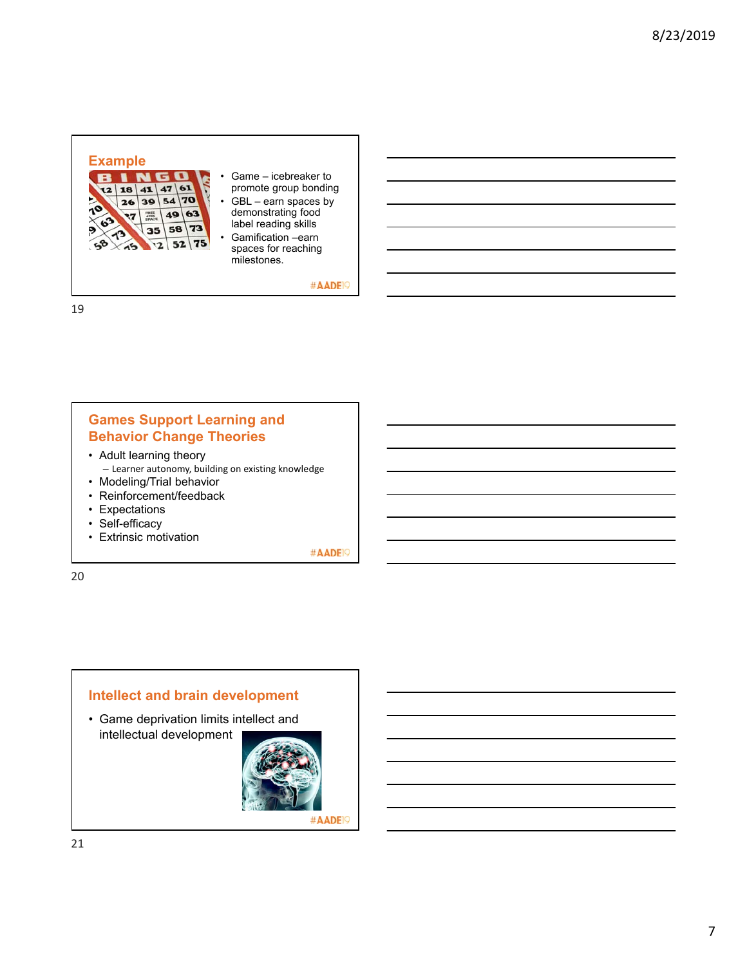

### **Games Support Learning and Behavior Change Theories**

- Adult learning theory – Learner autonomy, building on existing knowledge
- Modeling/Trial behavior • Reinforcement/feedback
- Expectations
- Self-efficacy
- Extrinsic motivation

#AADE<sup>19</sup>

20

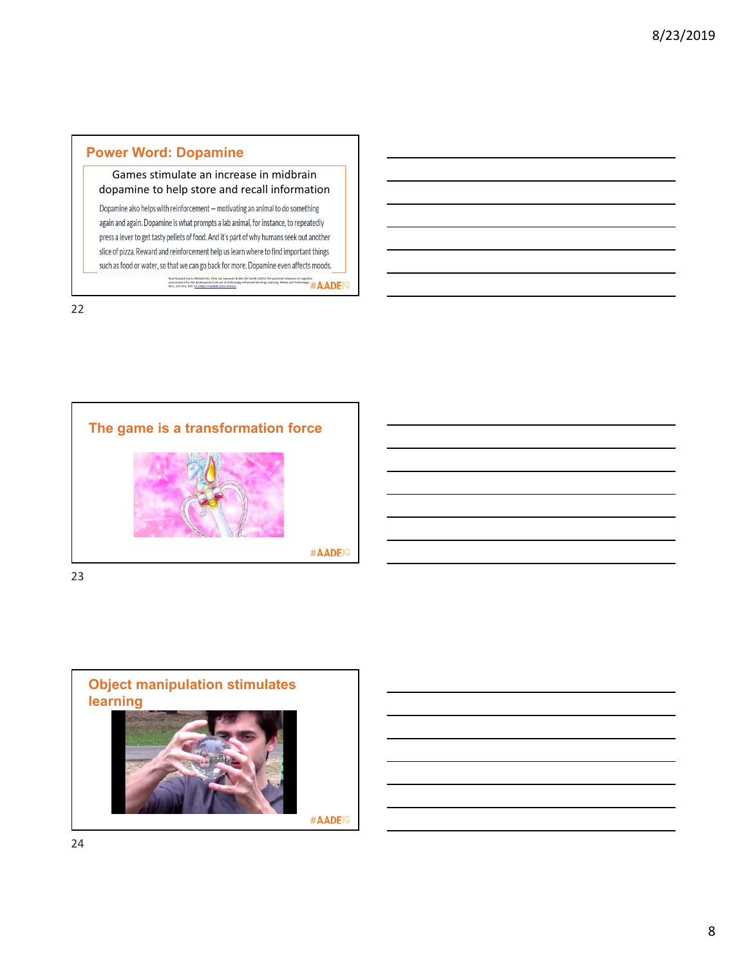# **Power Word: Dopamine**

Games stimulate an increase in midbrain dopamine to help store and recall information

Dopamine also helps with reinforcement - motivating an animal to do something again and again. Dopamine is what prompts a lab animal, for instance, to repeatedly press a lever to get tasty pellets of food. And it's part of why humans seek out another slice of pizza. Reward and reinforcement help us learn where to find important things such as food or water, so that we can go back for more. Dopamine even affects moods. Paul Howard-Jones, Michela Ott, Theo van Leeuwen & Bert De Smedt (2015) The potential relevance of cognitive<br>neuroscience for the development and use of technology-enhanced learning, Learning, Media and Technology, Jor<br>40:

22



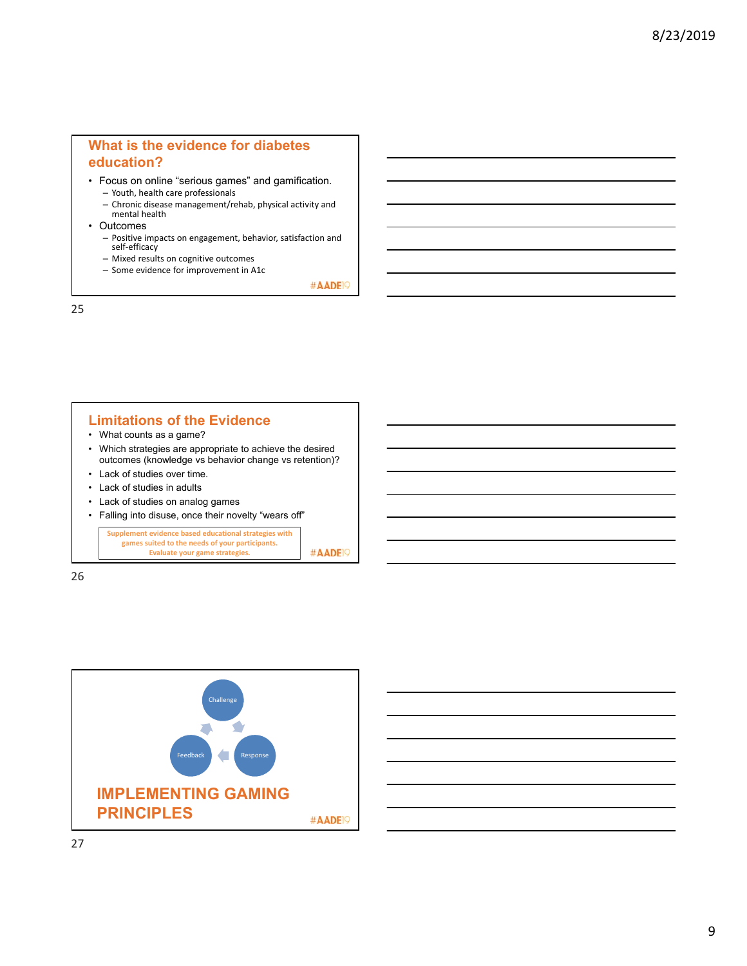## **What is the evidence for diabetes education?**

- Focus on online "serious games" and gamification. – Youth, health care professionals
	- Chronic disease management/rehab, physical activity and mental health
- Outcomes
	- Positive impacts on engagement, behavior, satisfaction and self‐efficacy
	- Mixed results on cognitive outcomes
	- Some evidence for improvement in A1c

#AADE<sup>19</sup>

25

#### **Limitations of the Evidence** • What counts as a game? • Which strategies are appropriate to achieve the desired

- outcomes (knowledge vs behavior change vs retention)? • Lack of studies over time.
- Lack of studies in adults
- Lack of studies on analog games
- Falling into disuse, once their novelty "wears off"

**Supplement evidence based educational strategies with games suited to the needs of your participants.** #AADE<sup>19</sup> **Evaluate your game strategies.**



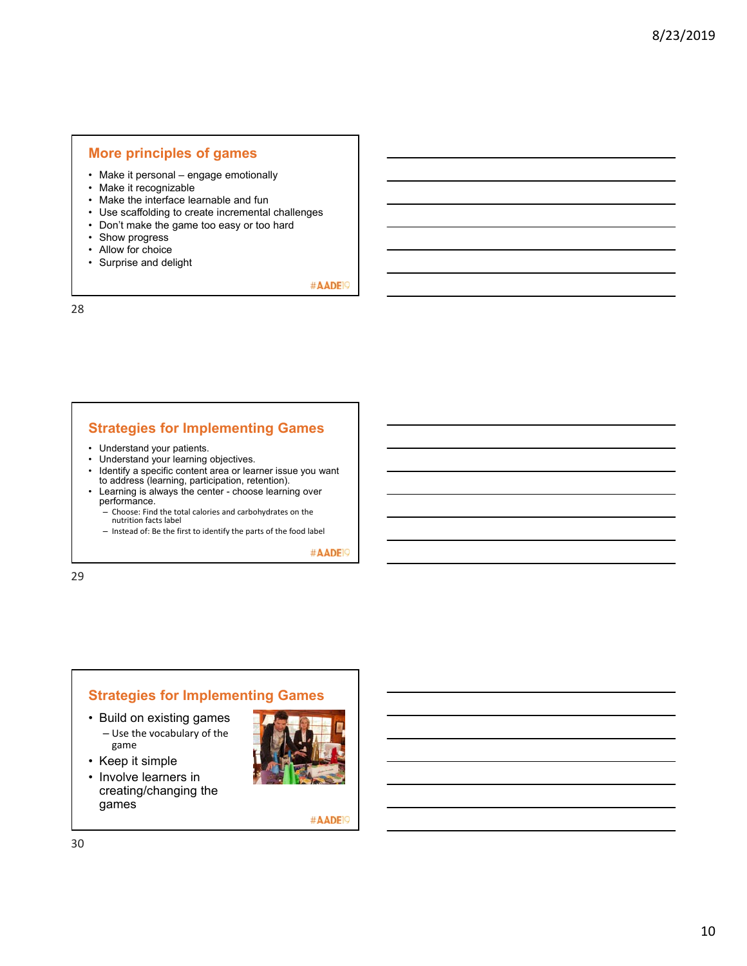#### **More principles of games**

- Make it personal engage emotionally
- Make it recognizable
- Make the interface learnable and fun
- Use scaffolding to create incremental challenges
- Don't make the game too easy or too hard
- Show progress
- Allow for choice
- Surprise and delight

#AADE<sup>19</sup>

28

#### **Strategies for Implementing Games**

- Understand your patients.
- Understand your learning objectives.
- Identify a specific content area or learner issue you want to address (learning, participation, retention).
- Learning is always the center choose learning over performance.

– Choose: Find the total calories and carbohydrates on the nutrition facts label

– Instead of: Be the first to identify the parts of the food label

#AADE<sup>19</sup>

29

# **Strategies for Implementing Games**

- Build on existing games – Use the vocabulary of the game
- Keep it simple
- Involve learners in creating/changing the games

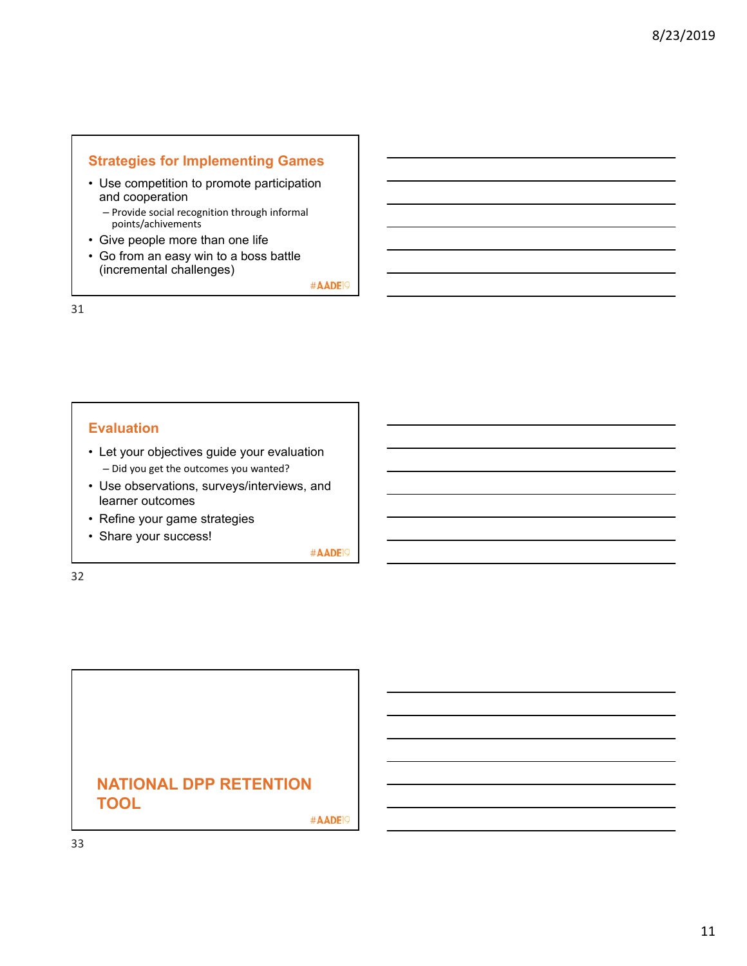# **Strategies for Implementing Games**

- Use competition to promote participation and cooperation
	- Provide social recognition through informal points/achivements
- Give people more than one life
- Go from an easy win to a boss battle (incremental challenges)

#AADE<sup>19</sup>

31

#### **Evaluation**

- Let your objectives guide your evaluation – Did you get the outcomes you wanted?
- Use observations, surveys/interviews, and learner outcomes
- Refine your game strategies
- Share your success!

#AADE<sup>19</sup>

32

# **NATIONAL DPP RETENTION TOOL**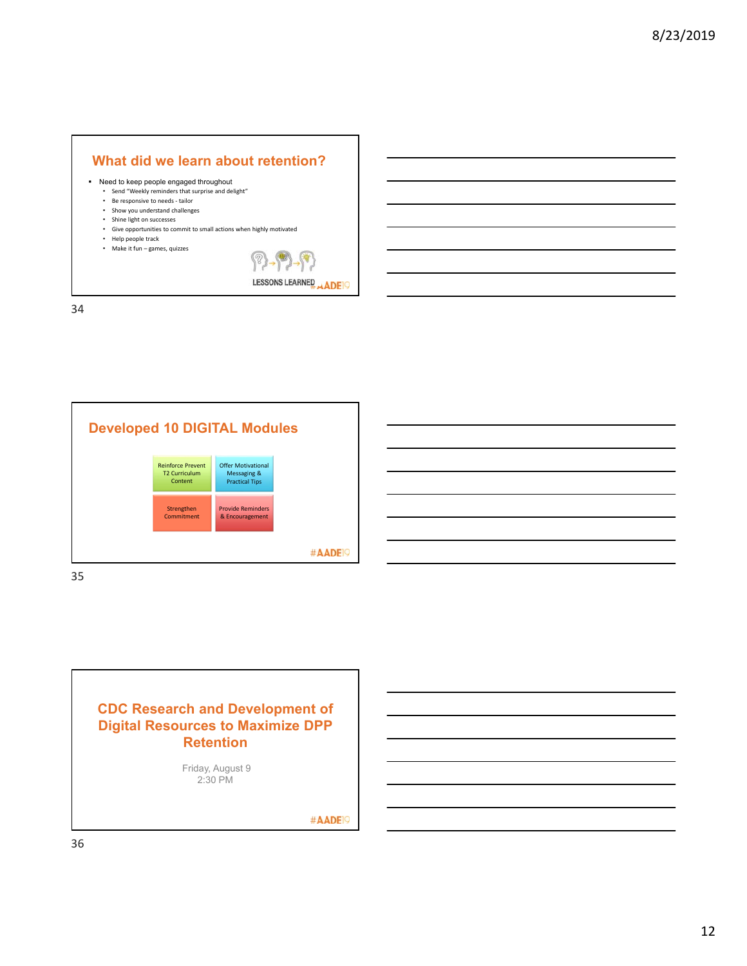

LESSONS LEARNED ADE

34



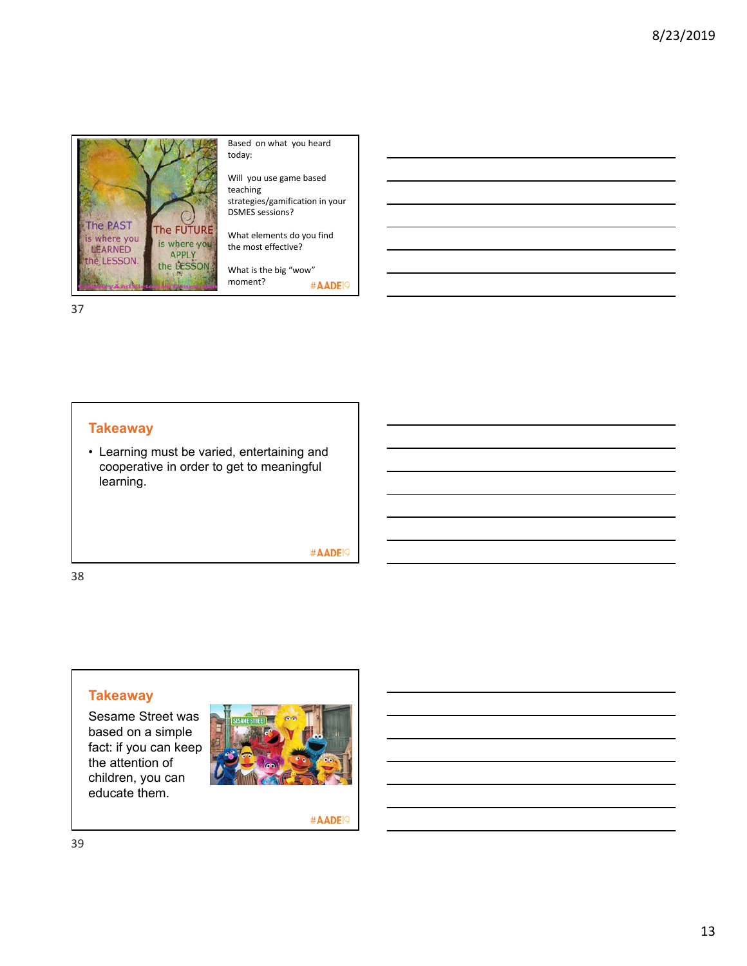

Based on what you heard today:

Will you use game based teaching strategies/gamification in your DSMES sessions?

What elements do you find the most effective?

What is the big "wow" moment? #AADE<sup>19</sup>

37

### **Takeaway**

• Learning must be varied, entertaining and cooperative in order to get to meaningful learning.

#AADE<sup>19</sup>

38

# **Takeaway**

Sesame Street was based on a simple fact: if you can keep the attention of children, you can educate them.

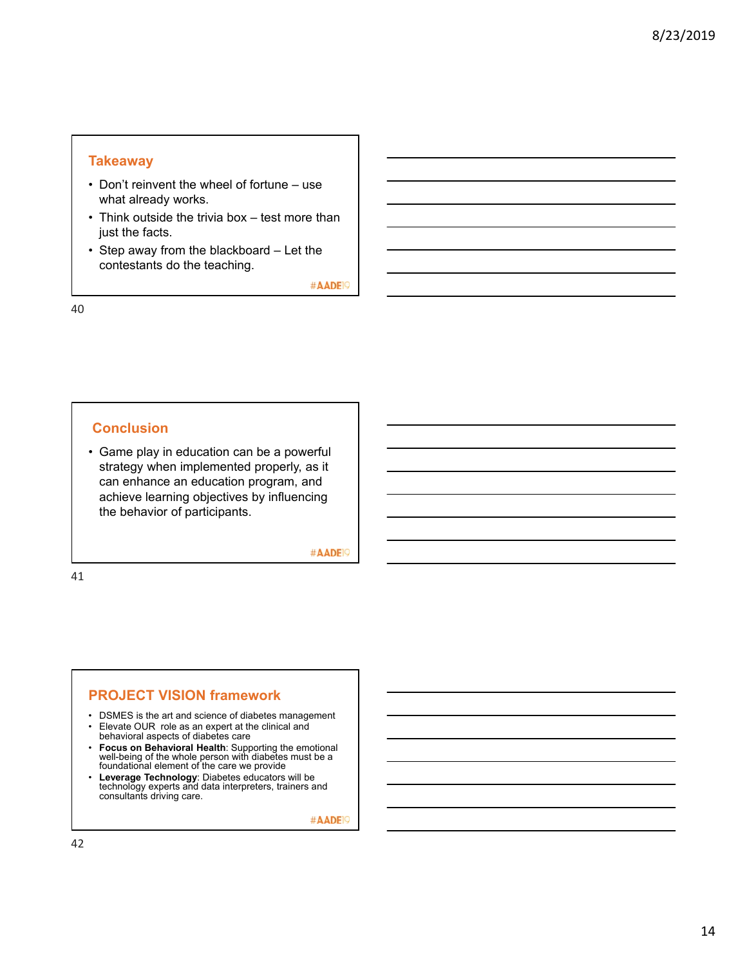### **Takeaway**

- Don't reinvent the wheel of fortune use what already works.
- Think outside the trivia box test more than just the facts.
- Step away from the blackboard Let the contestants do the teaching.

#AADE<sup>19</sup>

40

# **Conclusion**

• Game play in education can be a powerful strategy when implemented properly, as it can enhance an education program, and achieve learning objectives by influencing the behavior of participants.

#AADE<sup>19</sup>

41

### **PROJECT VISION framework**

- DSMES is the art and science of diabetes management
- Elevate OUR role as an expert at the clinical and behavioral aspects of diabetes care
- **Focus on Behavioral Health**: Supporting the emotional well-being of the whole person with diabetes must be a foundational element of the care we provide
- **Leverage Technology**: Diabetes educators will be technology experts and data interpreters, trainers and consultants driving care.